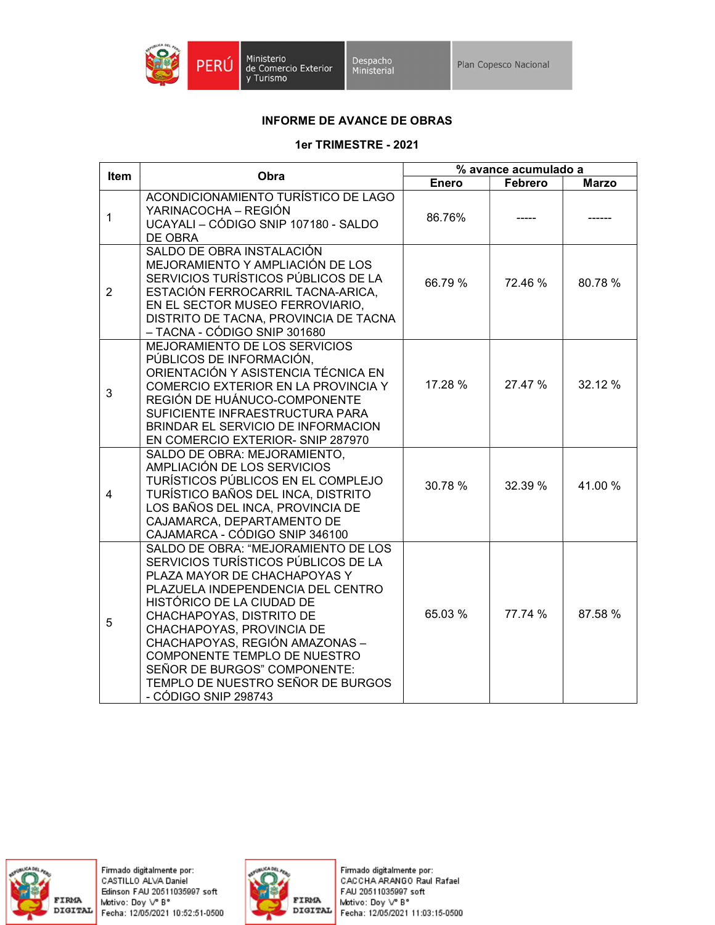

Ministerio<br>de Comercio Exterior<br>y Turismo

## INFORME DE AVANCE DE OBRAS

## 1er TRIMESTRE - 2021

| Item           | Obra                                                                                                                                                                                                                                                                                                                                                                                                 | % avance acumulado a |         |              |
|----------------|------------------------------------------------------------------------------------------------------------------------------------------------------------------------------------------------------------------------------------------------------------------------------------------------------------------------------------------------------------------------------------------------------|----------------------|---------|--------------|
|                |                                                                                                                                                                                                                                                                                                                                                                                                      | <b>Enero</b>         | Febrero | <b>Marzo</b> |
| $\mathbf{1}$   | ACONDICIONAMIENTO TURÍSTICO DE LAGO<br>YARINACOCHA - REGIÓN<br>UCAYALI - CÓDIGO SNIP 107180 - SALDO<br>DE OBRA                                                                                                                                                                                                                                                                                       | 86.76%               |         |              |
| $\overline{2}$ | SALDO DE OBRA INSTALACIÓN<br>MEJORAMIENTO Y AMPLIACIÓN DE LOS<br>SERVICIOS TURÍSTICOS PÚBLICOS DE LA<br>ESTACIÓN FERROCARRIL TACNA-ARICA,<br>EN EL SECTOR MUSEO FERROVIARIO.<br>DISTRITO DE TACNA, PROVINCIA DE TACNA<br>– TACNA - CÓDIGO SNIP 301680                                                                                                                                                | 66.79 %              | 72.46 % | 80.78%       |
| 3              | MEJORAMIENTO DE LOS SERVICIOS<br>PÚBLICOS DE INFORMACIÓN,<br>ORIENTACIÓN Y ASISTENCIA TÉCNICA EN<br>COMERCIO EXTERIOR EN LA PROVINCIA Y<br>REGIÓN DE HUÁNUCO-COMPONENTE<br>SUFICIENTE INFRAESTRUCTURA PARA<br>BRINDAR EL SERVICIO DE INFORMACION<br>EN COMERCIO EXTERIOR- SNIP 287970                                                                                                                | 17.28 %              | 27.47 % | 32.12 %      |
| 4              | SALDO DE OBRA: MEJORAMIENTO,<br>AMPLIACIÓN DE LOS SERVICIOS<br>TURÍSTICOS PÚBLICOS EN EL COMPLEJO<br>TURÍSTICO BAÑOS DEL INCA, DISTRITO<br>LOS BAÑOS DEL INCA, PROVINCIA DE<br>CAJAMARCA, DEPARTAMENTO DE<br>CAJAMARCA - CÓDIGO SNIP 346100                                                                                                                                                          | 30.78 %              | 32.39 % | 41.00%       |
| 5              | SALDO DE OBRA: "MEJORAMIENTO DE LOS<br>SERVICIOS TURÍSTICOS PÚBLICOS DE LA<br>PLAZA MAYOR DE CHACHAPOYAS Y<br>PLAZUELA INDEPENDENCIA DEL CENTRO<br>HISTÓRICO DE LA CIUDAD DE<br>CHACHAPOYAS, DISTRITO DE<br>CHACHAPOYAS, PROVINCIA DE<br>CHACHAPOYAS, REGIÓN AMAZONAS -<br>COMPONENTE TEMPLO DE NUESTRO<br>SEÑOR DE BURGOS" COMPONENTE:<br>TEMPLO DE NUESTRO SEÑOR DE BURGOS<br>- CÓDIGO SNIP 298743 | 65.03 %              | 77.74 % | 87.58 %      |





Firmado digitalmente por:<br>CACCHA ARANGO Raul Rafael FAU 20511035997 soft Motivo: Doy V° B° Fecha: 12/05/2021 11:03:15-0500